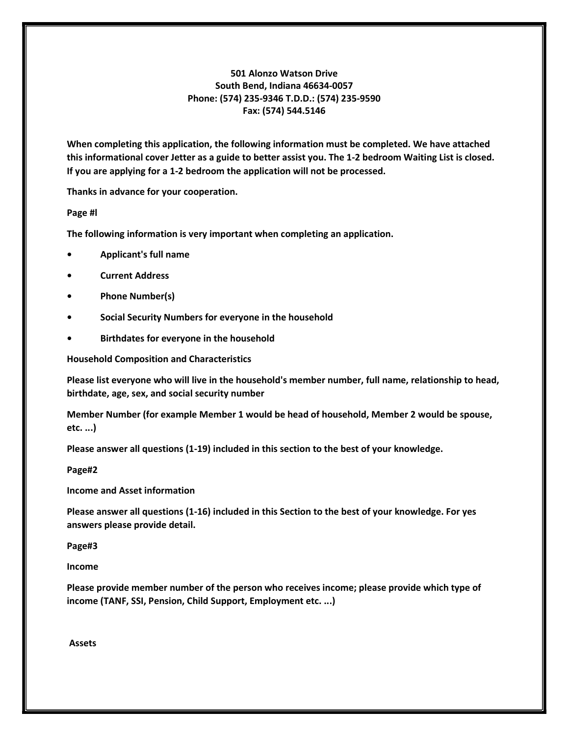#### 501 Alonzo Watson Drive South Bend, Indiana 46634-0057 Phone: (574) 235-9346 T.D.D.: (574) 235-9590 Fax: (574) 544.5146

When completing this application, the following information must be completed. We have attached this informational cover Jetter as a guide to better assist you. The 1-2 bedroom Waiting List is closed. If you are applying for a 1-2 bedroom the application will not be processed.

Thanks in advance for your cooperation.

Page #l

The following information is very important when completing an application.

- Applicant's full name
- **Current Address**
- Phone Number(s)
- Social Security Numbers for everyone in the household
- Birthdates for everyone in the household

Household Composition and Characteristics

Please list everyone who will live in the household's member number, full name, relationship to head, birthdate, age, sex, and social security number

Member Number (for example Member 1 would be head of household, Member 2 would be spouse, etc. ...)

Please answer all questions (1-19) included in this section to the best of your knowledge.

Page#2

Income and Asset information

Please answer all questions (1-16) included in this Section to the best of your knowledge. For yes answers please provide detail.

Page#3

Income

Please provide member number of the person who receives income; please provide which type of income (TANF, SSI, Pension, Child Support, Employment etc. ...)

Assets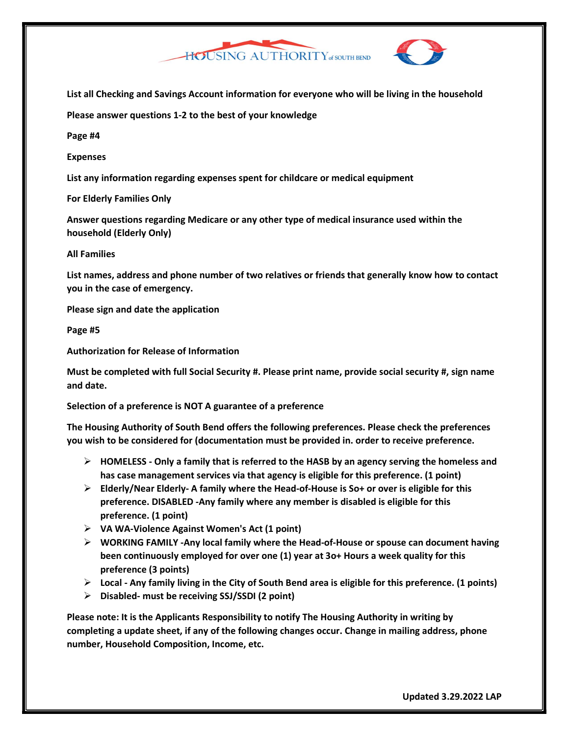

List all Checking and Savings Account information for everyone who will be living in the household

Please answer questions 1-2 to the best of your knowledge

Page #4

Expenses

List any information regarding expenses spent for childcare or medical equipment

For Elderly Families Only

Answer questions regarding Medicare or any other type of medical insurance used within the household (Elderly Only)

#### All Families

List names, address and phone number of two relatives or friends that generally know how to contact you in the case of emergency.

Please sign and date the application

Page #5

Authorization for Release of Information

Must be completed with full Social Security #. Please print name, provide social security #, sign name and date.

Selection of a preference is NOT A guarantee of a preference

The Housing Authority of South Bend offers the following preferences. Please check the preferences you wish to be considered for (documentation must be provided in. order to receive preference.

- $\triangleright$  HOMELESS Only a family that is referred to the HASB by an agency serving the homeless and has case management services via that agency is eligible for this preference. (1 point)
- $\triangleright$  Elderly/Near Elderly- A family where the Head-of-House is So+ or over is eligible for this preference. DISABLED -Any family where any member is disabled is eligible for this preference. (1 point)
- $\triangleright$  VA WA-Violence Against Women's Act (1 point)
- $\triangleright$  WORKING FAMILY -Any local family where the Head-of-House or spouse can document having been continuously employed for over one (1) year at 3o+ Hours a week quality for this preference (3 points)
- $\triangleright$  Local Any family living in the City of South Bend area is eligible for this preference. (1 points)
- $\triangleright$  Disabled- must be receiving SSJ/SSDI (2 point)

Please note: It is the Applicants Responsibility to notify The Housing Authority in writing by completing a update sheet, if any of the following changes occur. Change in mailing address, phone number, Household Composition, Income, etc.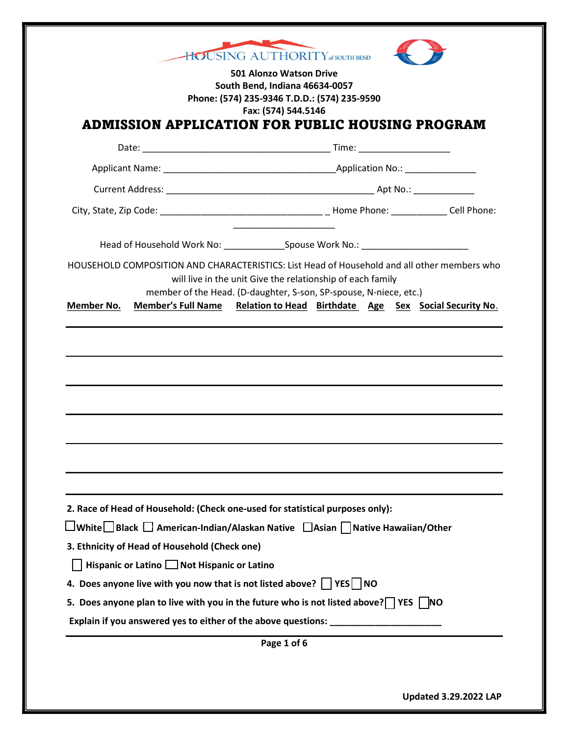|                   | South Bend, Indiana 46634-0057                | Phone: (574) 235-9346 T.D.D.: (574) 235-9590                                                                                                                                                                                   |
|-------------------|-----------------------------------------------|--------------------------------------------------------------------------------------------------------------------------------------------------------------------------------------------------------------------------------|
|                   |                                               | Fax: (574) 544.5146<br>ADMISSION APPLICATION FOR PUBLIC HOUSING PROGRAM                                                                                                                                                        |
|                   |                                               |                                                                                                                                                                                                                                |
|                   |                                               |                                                                                                                                                                                                                                |
|                   |                                               |                                                                                                                                                                                                                                |
|                   |                                               |                                                                                                                                                                                                                                |
|                   |                                               |                                                                                                                                                                                                                                |
|                   |                                               | HOUSEHOLD COMPOSITION AND CHARACTERISTICS: List Head of Household and all other members who<br>will live in the unit Give the relationship of each family<br>member of the Head. (D-daughter, S-son, SP-spouse, N-niece, etc.) |
| <b>Member No.</b> | <b>Member's Full Name</b>                     | Relation to Head Birthdate Age Sex Social Security No.                                                                                                                                                                         |
|                   |                                               |                                                                                                                                                                                                                                |
|                   |                                               |                                                                                                                                                                                                                                |
|                   |                                               | 2. Race of Head of Household: (Check one-used for statistical purposes only):                                                                                                                                                  |
|                   |                                               | $\Box$ White $\Box$ Black $\Box$ American-Indian/Alaskan Native $\Box$ Asian $\Box$ Native Hawaiian/Other                                                                                                                      |
|                   | 3. Ethnicity of Head of Household (Check one) |                                                                                                                                                                                                                                |
|                   | Hispanic or Latino Not Hispanic or Latino     |                                                                                                                                                                                                                                |
|                   |                                               | 4. Does anyone live with you now that is not listed above?     YES     NO                                                                                                                                                      |
|                   |                                               | 5. Does anyone plan to live with you in the future who is not listed above? $\Box$ YES $\Box$ NO                                                                                                                               |
|                   |                                               | Explain if you answered yes to either of the above questions: __________________                                                                                                                                               |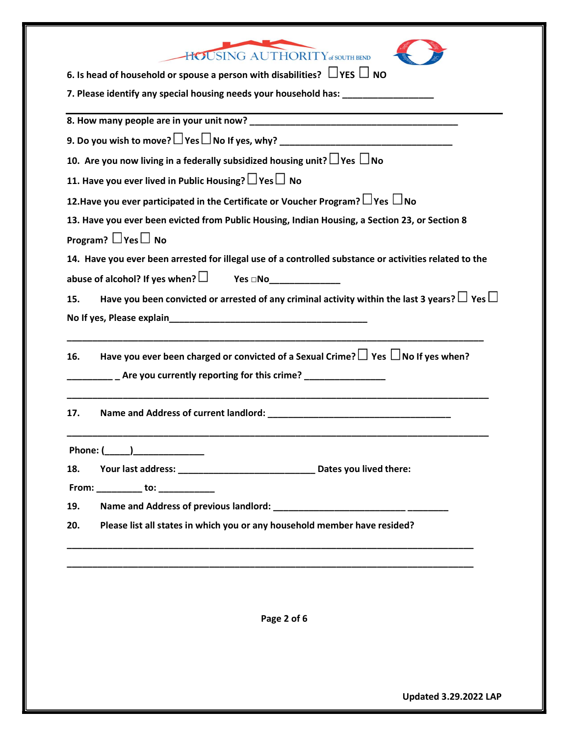| HOUSING AUTHORITY of SOUTH BEND                                                                                |  |  |  |
|----------------------------------------------------------------------------------------------------------------|--|--|--|
| 6. Is head of household or spouse a person with disabilities? $\Box$ YES $\Box$ NO                             |  |  |  |
| 7. Please identify any special housing needs your household has: _______________                               |  |  |  |
|                                                                                                                |  |  |  |
|                                                                                                                |  |  |  |
|                                                                                                                |  |  |  |
| 10. Are you now living in a federally subsidized housing unit? $\Box$ Yes $\Box$ No                            |  |  |  |
| 11. Have you ever lived in Public Housing? $\Box$ Yes $\Box$ No                                                |  |  |  |
| 12. Have you ever participated in the Certificate or Voucher Program? $\Box$ Yes $\Box$ No                     |  |  |  |
| 13. Have you ever been evicted from Public Housing, Indian Housing, a Section 23, or Section 8                 |  |  |  |
| Program? $\Box$ Yes $\Box$ No                                                                                  |  |  |  |
| 14. Have you ever been arrested for illegal use of a controlled substance or activities related to the         |  |  |  |
| abuse of alcohol? If yes when? $\Box$ Yes $\Box$ No $\Box$                                                     |  |  |  |
| Have you been convicted or arrested of any criminal activity within the last 3 years? $\Box$ Yes $\Box$<br>15. |  |  |  |
|                                                                                                                |  |  |  |
| Have you ever been charged or convicted of a Sexual Crime? $\Box$ Yes $\Box$ No If yes when?<br>16.            |  |  |  |
| 17.                                                                                                            |  |  |  |
| Phone: (                                                                                                       |  |  |  |
| 18.                                                                                                            |  |  |  |
| From: ___________ to: ____________                                                                             |  |  |  |
| 19.                                                                                                            |  |  |  |
| Please list all states in which you or any household member have resided?<br>20.                               |  |  |  |
|                                                                                                                |  |  |  |
|                                                                                                                |  |  |  |
|                                                                                                                |  |  |  |
| Page 2 of 6                                                                                                    |  |  |  |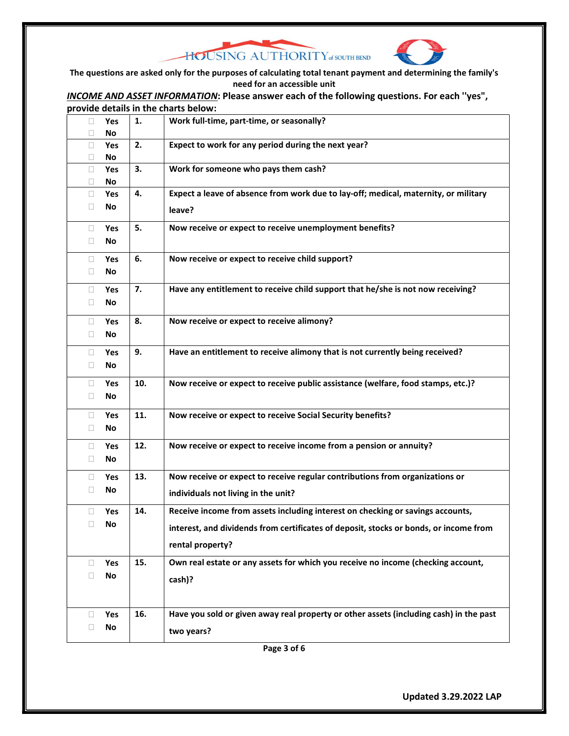



The questions are asked only for the purposes of calculating total tenant payment and determining the family's need for an accessible unit

INCOME AND ASSET INFORMATION: Please answer each of the following questions. For each "yes", provide details in the charts below:

| 0<br>□ | Yes<br>No  | 1.  | Work full-time, part-time, or seasonally?                                              |  |
|--------|------------|-----|----------------------------------------------------------------------------------------|--|
| 0      | Yes        | 2.  | Expect to work for any period during the next year?                                    |  |
| Ц      | No         |     |                                                                                        |  |
| □      | Yes        | 3.  | Work for someone who pays them cash?                                                   |  |
| 0      | No         |     |                                                                                        |  |
| $\Box$ | Yes        | 4.  | Expect a leave of absence from work due to lay-off; medical, maternity, or military    |  |
| 0      | No         |     | leave?                                                                                 |  |
| 0      | Yes        | 5.  | Now receive or expect to receive unemployment benefits?                                |  |
| Ц      | No         |     |                                                                                        |  |
| 0      | Yes        | 6.  | Now receive or expect to receive child support?                                        |  |
| 0      | No         |     |                                                                                        |  |
| П      | <b>Yes</b> | 7.  | Have any entitlement to receive child support that he/she is not now receiving?        |  |
| Ц      | No         |     |                                                                                        |  |
| П      | Yes        | 8.  | Now receive or expect to receive alimony?                                              |  |
| 0      | No         |     |                                                                                        |  |
| u      | Yes        | 9.  | Have an entitlement to receive alimony that is not currently being received?           |  |
| $\Box$ | No         |     |                                                                                        |  |
| $\Box$ | Yes        | 10. | Now receive or expect to receive public assistance (welfare, food stamps, etc.)?       |  |
| □      | No         |     |                                                                                        |  |
| 0      | Yes        | 11. | Now receive or expect to receive Social Security benefits?                             |  |
| 0      | No         |     |                                                                                        |  |
| 0      | Yes        | 12. | Now receive or expect to receive income from a pension or annuity?                     |  |
| □      | No         |     |                                                                                        |  |
| O      | Yes        | 13. | Now receive or expect to receive regular contributions from organizations or           |  |
| □      | No         |     | individuals not living in the unit?                                                    |  |
| П      | Yes        | 14. | Receive income from assets including interest on checking or savings accounts,         |  |
| □      | No         |     | interest, and dividends from certificates of deposit, stocks or bonds, or income from  |  |
|        |            |     |                                                                                        |  |
|        |            |     | rental property?                                                                       |  |
| 0      | Yes        | 15. | Own real estate or any assets for which you receive no income (checking account,       |  |
| □      | No         |     | cash)?                                                                                 |  |
|        |            |     |                                                                                        |  |
| u      | Yes        | 16. | Have you sold or given away real property or other assets (including cash) in the past |  |
| □      | No         |     | two years?                                                                             |  |
|        |            |     |                                                                                        |  |

Page 3 of 6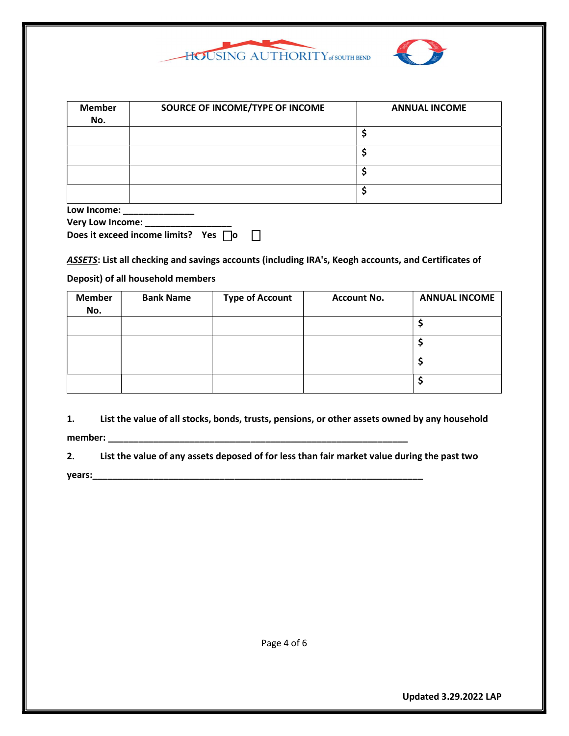

| <b>Member</b><br>No. | SOURCE OF INCOME/TYPE OF INCOME | <b>ANNUAL INCOME</b> |
|----------------------|---------------------------------|----------------------|
|                      |                                 |                      |
|                      |                                 |                      |
|                      |                                 |                      |
|                      |                                 |                      |
| Low Income:          |                                 |                      |

| LUW IIIWIIIWI           |  |
|-------------------------|--|
| <b>Very Low Income:</b> |  |

| Does it exceed income limits? Yes $\Box$ o |  |  |  |
|--------------------------------------------|--|--|--|

ASSETS: List all checking and savings accounts (including IRA's, Keogh accounts, and Certificates of

#### Deposit) of all household members

| <b>Member</b><br>No. | <b>Bank Name</b> | <b>Type of Account</b> | <b>Account No.</b> | <b>ANNUAL INCOME</b> |
|----------------------|------------------|------------------------|--------------------|----------------------|
|                      |                  |                        |                    |                      |
|                      |                  |                        |                    |                      |
|                      |                  |                        |                    |                      |
|                      |                  |                        |                    |                      |

1. List the value of all stocks, bonds, trusts, pensions, or other assets owned by any household member: \_\_\_\_\_\_\_\_\_\_\_\_\_\_\_\_\_\_\_\_\_\_\_\_\_\_\_\_\_\_\_\_\_\_\_\_\_\_\_\_\_\_\_\_\_\_\_\_\_\_\_\_\_\_\_\_\_\_\_

2. List the value of any assets deposed of for less than fair market value during the past two years:\_\_\_\_\_\_\_\_\_\_\_\_\_\_\_\_\_\_\_\_\_\_\_\_\_\_\_\_\_\_\_\_\_\_\_\_\_\_\_\_\_\_\_\_\_\_\_\_\_\_\_\_\_\_\_\_\_\_\_\_\_\_\_\_\_

Page 4 of 6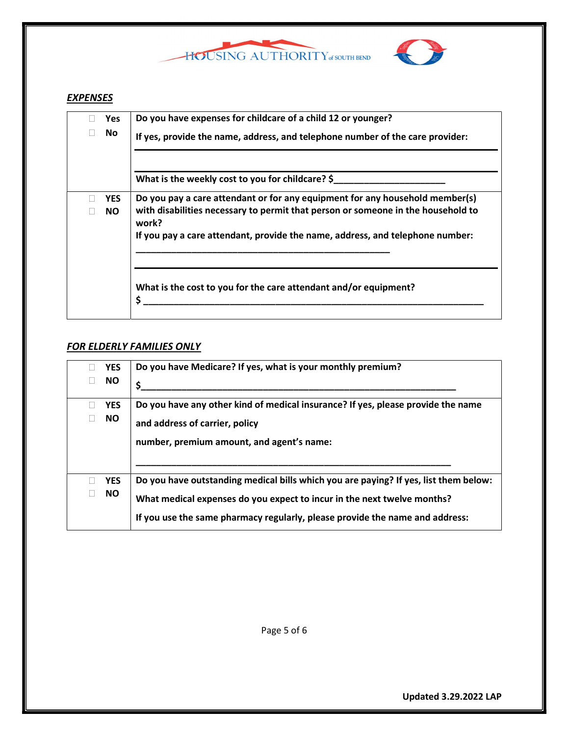



# **EXPENSES**

| <b>Yes</b>              | Do you have expenses for childcare of a child 12 or younger?                                                                                                                                                                                               |
|-------------------------|------------------------------------------------------------------------------------------------------------------------------------------------------------------------------------------------------------------------------------------------------------|
| No                      | If yes, provide the name, address, and telephone number of the care provider:                                                                                                                                                                              |
|                         | What is the weekly cost to you for childcare? \$                                                                                                                                                                                                           |
| <b>YES</b><br><b>NO</b> | Do you pay a care attendant or for any equipment for any household member(s)<br>with disabilities necessary to permit that person or someone in the household to<br>work?<br>If you pay a care attendant, provide the name, address, and telephone number: |
|                         | What is the cost to you for the care attendant and/or equipment?<br>\$                                                                                                                                                                                     |

## FOR ELDERLY FAMILIES ONLY

| <b>YES</b><br><b>NO</b> | Do you have Medicare? If yes, what is your monthly premium?                                                                                                                                                                                     |
|-------------------------|-------------------------------------------------------------------------------------------------------------------------------------------------------------------------------------------------------------------------------------------------|
| <b>YES</b><br>NO.       | Do you have any other kind of medical insurance? If yes, please provide the name<br>and address of carrier, policy<br>number, premium amount, and agent's name:                                                                                 |
| <b>YES</b><br><b>NO</b> | Do you have outstanding medical bills which you are paying? If yes, list them below:<br>What medical expenses do you expect to incur in the next twelve months?<br>If you use the same pharmacy regularly, please provide the name and address: |

Page 5 of 6